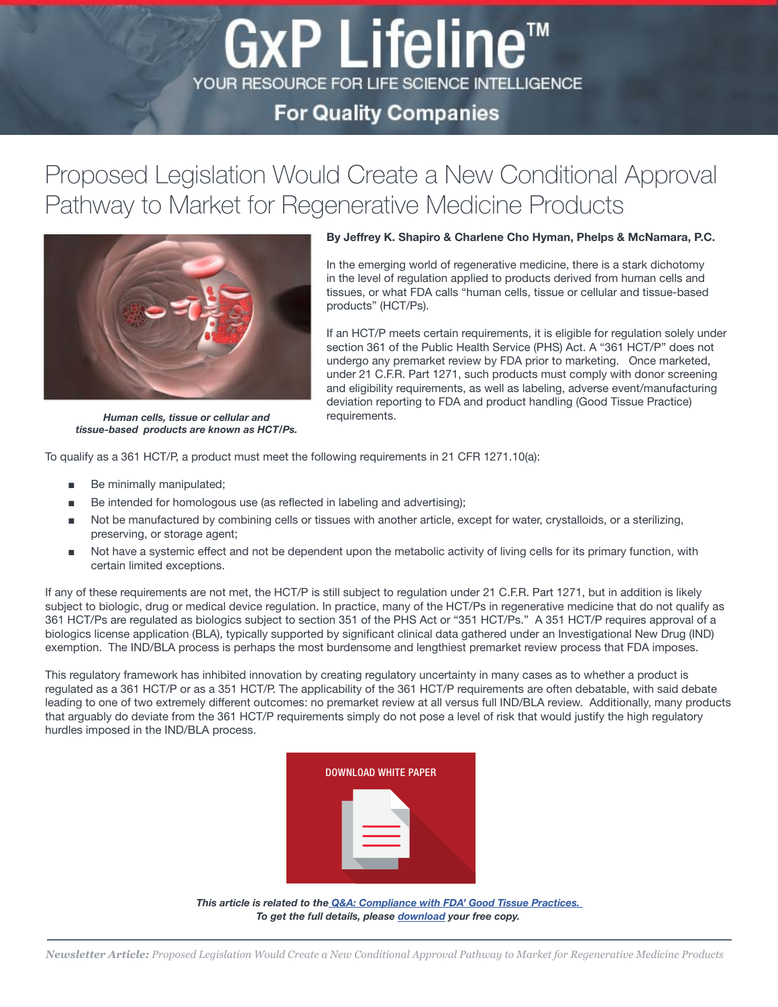## **For Quality Companies**

GxP Lifeline™

YOUR RESOURCE FOR LIFE SCIENCE INTELLIGENCE

# Proposed Legislation Would Create a New Conditional Approval Pathway to Market for Regenerative Medicine Products



In the emerging world of regenerative medicine, there is a stark dichotomy

in the level of regulation applied to products derived from human cells and tissues, or what FDA calls "human cells, tissue or cellular and tissue‑based products" (HCT/Ps).

By Jeffrey K. Shapiro & Charlene Cho Hyman, Phelps & McNamara, P.C.

If an HCT/P meets certain requirements, it is eligible for regulation solely under section 361 of the Public Health Service (PHS) Act. A "361 HCT/P" does not undergo any premarket review by FDA prior to marketing. Once marketed, under 21 C.F.R. Part 1271, such products must comply with donor screening and eligibility requirements, as well as labeling, adverse event/manufacturing deviation reporting to FDA and product handling (Good Tissue Practice) requirements.

*Human cells, tissue or cellular and tissue-based products are known as HCT/Ps.*

To qualify as a 361 HCT/P, a product must meet the following requirements in 21 CFR 1271.10(a):

- Be minimally manipulated;
- Be intended for homologous use (as reflected in labeling and advertising);
- Not be manufactured by combining cells or tissues with another article, except for water, crystalloids, or a sterilizing, preserving, or storage agent;
- Not have a systemic effect and not be dependent upon the metabolic activity of living cells for its primary function, with certain limited exceptions.

If any of these requirements are not met, the HCT/P is still subject to regulation under 21 C.F.R. Part 1271, but in addition is likely subject to biologic, drug or medical device regulation. In practice, many of the HCT/Ps in regenerative medicine that do not qualify as 361 HCT/Ps are regulated as biologics subject to section 351 of the PHS Act or "351 HCT/Ps." A 351 HCT/P requires approval of a biologics license application (BLA), typically supported by significant clinical data gathered under an Investigational New Drug (IND) exemption. The IND/BLA process is perhaps the most burdensome and lengthiest premarket review process that FDA imposes.

This regulatory framework has inhibited innovation by creating regulatory uncertainty in many cases as to whether a product is regulated as a 361 HCT/P or as a 351 HCT/P. The applicability of the 361 HCT/P requirements are often debatable, with said debate leading to one of two extremely different outcomes: no premarket review at all versus full IND/BLA review. Additionally, many products that arguably do deviate from the 361 HCT/P requirements simply do not pose a level of risk that would justify the high regulatory hurdles imposed in the IND/BLA process.



*This article is related to the [Q&A: Compliance with FDA' Good Tissue Practices.](http://www.mastercontrol.com/resource/req_form.cfm?dl=73&source=blog)  To get the full details, please [download](http://www.mastercontrol.com/resource/req_form.cfm?dl=73&source=blog) your free copy.*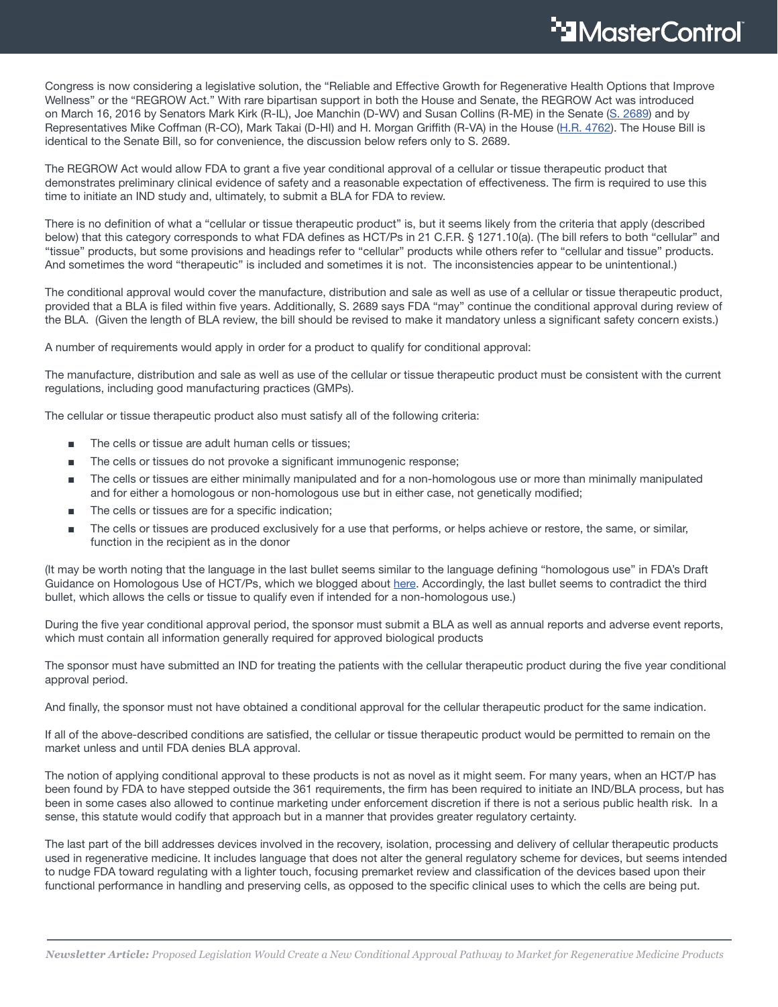Congress is now considering a legislative solution, the "Reliable and Effective Growth for Regenerative Health Options that Improve Wellness" or the "REGROW Act." With rare bipartisan support in both the House and Senate, the REGROW Act was introduced on March 16, 2016 by Senators Mark Kirk (R-IL), Joe Manchin (D-WV) and Susan Collins (R-ME) in the Senate ([S. 2689\)](https://www.congress.gov/bill/114th-congress/senate-bill/2689/text) and by Representatives Mike Coffman (R-CO), Mark Takai (D-HI) and H. Morgan Griffith (R-VA) in the House ([H.R. 4762\)](https://www.congress.gov/bill/114th-congress/house-bill/4762/text). The House Bill is identical to the Senate Bill, so for convenience, the discussion below refers only to S. 2689.

The REGROW Act would allow FDA to grant a five year conditional approval of a cellular or tissue therapeutic product that demonstrates preliminary clinical evidence of safety and a reasonable expectation of effectiveness. The firm is required to use this time to initiate an IND study and, ultimately, to submit a BLA for FDA to review.

There is no definition of what a "cellular or tissue therapeutic product" is, but it seems likely from the criteria that apply (described below) that this category corresponds to what FDA defines as HCT/Ps in 21 C.F.R. § 1271.10(a). (The bill refers to both "cellular" and "tissue" products, but some provisions and headings refer to "cellular" products while others refer to "cellular and tissue" products. And sometimes the word "therapeutic" is included and sometimes it is not. The inconsistencies appear to be unintentional.)

The conditional approval would cover the manufacture, distribution and sale as well as use of a cellular or tissue therapeutic product, provided that a BLA is filed within five years. Additionally, S. 2689 says FDA "may" continue the conditional approval during review of the BLA. (Given the length of BLA review, the bill should be revised to make it mandatory unless a significant safety concern exists.)

A number of requirements would apply in order for a product to qualify for conditional approval:

The manufacture, distribution and sale as well as use of the cellular or tissue therapeutic product must be consistent with the current regulations, including good manufacturing practices (GMPs).

The cellular or tissue therapeutic product also must satisfy all of the following criteria:

- The cells or tissue are adult human cells or tissues:
- The cells or tissues do not provoke a significant immunogenic response;
- The cells or tissues are either minimally manipulated and for a non-homologous use or more than minimally manipulated and for either a homologous or non-homologous use but in either case, not genetically modified;
- The cells or tissues are for a specific indication;
- The cells or tissues are produced exclusively for a use that performs, or helps achieve or restore, the same, or similar, function in the recipient as in the donor

(It may be worth noting that the language in the last bullet seems similar to the language defining "homologous use" in FDA's Draft Guidance on Homologous Use of HCT/Ps, which we blogged about [here](http://www.fdalawblog.net/fda_law_blog_hyman_phelps/2015/11/fda-to-hold-a-public-hearing-for-a-quartet-of-draft-hctp-guidances-a-scorecard-.html). Accordingly, the last bullet seems to contradict the third bullet, which allows the cells or tissue to qualify even if intended for a non-homologous use.)

During the five year conditional approval period, the sponsor must submit a BLA as well as annual reports and adverse event reports, which must contain all information generally required for approved biological products

The sponsor must have submitted an IND for treating the patients with the cellular therapeutic product during the five year conditional approval period.

And finally, the sponsor must not have obtained a conditional approval for the cellular therapeutic product for the same indication.

If all of the above-described conditions are satisfied, the cellular or tissue therapeutic product would be permitted to remain on the market unless and until FDA denies BLA approval.

The notion of applying conditional approval to these products is not as novel as it might seem. For many years, when an HCT/P has been found by FDA to have stepped outside the 361 requirements, the firm has been required to initiate an IND/BLA process, but has been in some cases also allowed to continue marketing under enforcement discretion if there is not a serious public health risk. In a sense, this statute would codify that approach but in a manner that provides greater regulatory certainty.

The last part of the bill addresses devices involved in the recovery, isolation, processing and delivery of cellular therapeutic products used in regenerative medicine. It includes language that does not alter the general regulatory scheme for devices, but seems intended to nudge FDA toward regulating with a lighter touch, focusing premarket review and classification of the devices based upon their functional performance in handling and preserving cells, as opposed to the specific clinical uses to which the cells are being put.